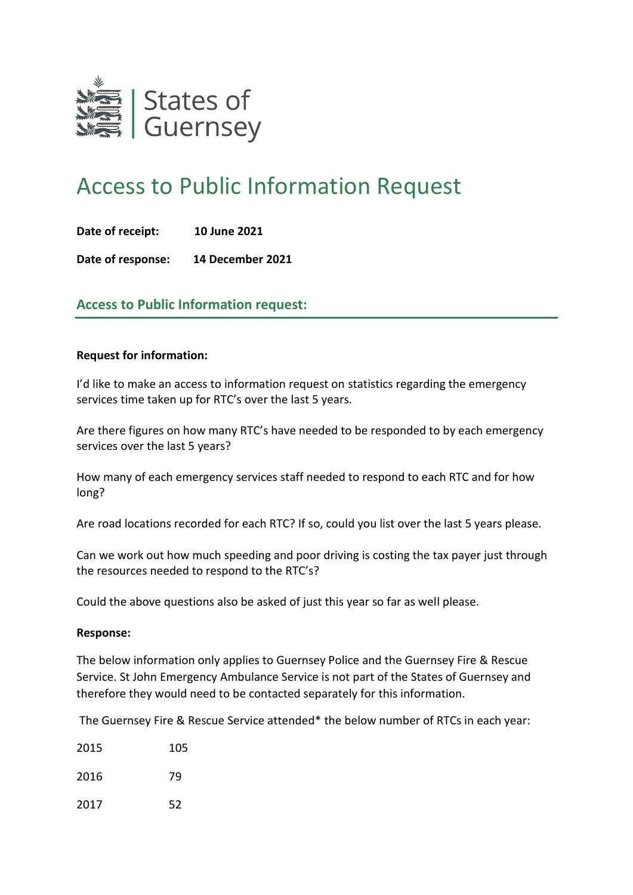

## Access to Public Information Request

**Date of receipt: 10 June 2021**

**Date of response: 14 December 2021**

## **Access to Public Information request:**

## **Request for information:**

I'd like to make an access to information request on statistics regarding the emergency services time taken up for RTC's over the last 5 years.

Are there figures on how many RTC's have needed to be responded to by each emergency services over the last 5 years?

How many of each emergency services staff needed to respond to each RTC and for how long?

Are road locations recorded for each RTC? If so, could you list over the last 5 years please.

Can we work out how much speeding and poor driving is costing the tax payer just through the resources needed to respond to the RTC's?

Could the above questions also be asked of just this year so far as well please.

## **Response:**

The below information only applies to Guernsey Police and the Guernsey Fire & Rescue Service. St John Emergency Ambulance Service is not part of the States of Guernsey and therefore they would need to be contacted separately for this information.

The Guernsey Fire & Rescue Service attended\* the below number of RTCs in each year:

| 2015 | 105 |
|------|-----|
|      |     |

2016 79

2017 52